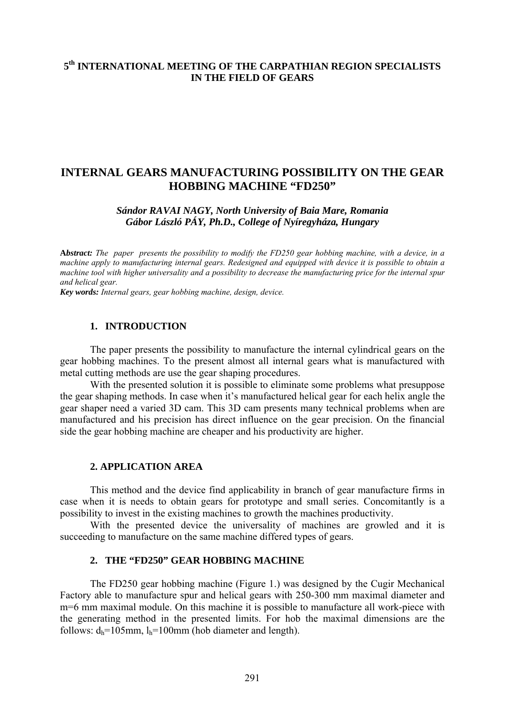# **5th INTERNATIONAL MEETING OF THE CARPATHIAN REGION SPECIALISTS IN THE FIELD OF GEARS**

# **INTERNAL GEARS MANUFACTURING POSSIBILITY ON THE GEAR HOBBING MACHINE "FD250"**

*Sándor RAVAI NAGY, North University of Baia Mare, Romania Gábor László PÁY, Ph.D., College of Nyíregyháza, Hungary* 

**A***bstract: The paper presents the possibility to modify the FD250 gear hobbing machine, with a device, in a machine apply to manufacturing internal gears. Redesigned and equipped with device it is possible to obtain a machine tool with higher universality and a possibility to decrease the manufacturing price for the internal spur and helical gear.* 

*Key words: Internal gears, gear hobbing machine, design, device.* 

#### **1. INTRODUCTION**

 The paper presents the possibility to manufacture the internal cylindrical gears on the gear hobbing machines. To the present almost all internal gears what is manufactured with metal cutting methods are use the gear shaping procedures.

 With the presented solution it is possible to eliminate some problems what presuppose the gear shaping methods. In case when it's manufactured helical gear for each helix angle the gear shaper need a varied 3D cam. This 3D cam presents many technical problems when are manufactured and his precision has direct influence on the gear precision. On the financial side the gear hobbing machine are cheaper and his productivity are higher.

#### **2. APPLICATION AREA**

This method and the device find applicability in branch of gear manufacture firms in case when it is needs to obtain gears for prototype and small series. Concomitantly is a possibility to invest in the existing machines to growth the machines productivity.

With the presented device the universality of machines are growled and it is succeeding to manufacture on the same machine differed types of gears.

#### **2. THE "FD250" GEAR HOBBING MACHINE**

The FD250 gear hobbing machine (Figure 1.) was designed by the Cugir Mechanical Factory able to manufacture spur and helical gears with 250-300 mm maximal diameter and m=6 mm maximal module. On this machine it is possible to manufacture all work-piece with the generating method in the presented limits. For hob the maximal dimensions are the follows:  $d_h=105$ mm,  $l_h=100$ mm (hob diameter and length).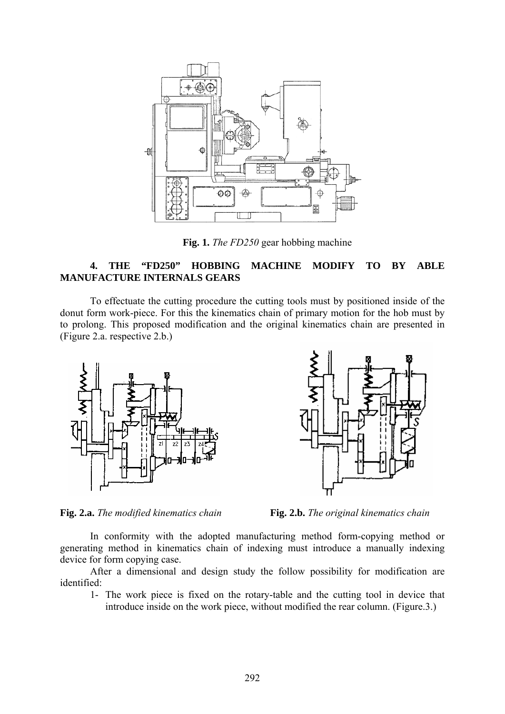

**Fig. 1.** *The FD250* gear hobbing machine

### **4. THE "FD250" HOBBING MACHINE MODIFY TO BY ABLE MANUFACTURE INTERNALS GEARS**

To effectuate the cutting procedure the cutting tools must by positioned inside of the donut form work-piece. For this the kinematics chain of primary motion for the hob must by to prolong. This proposed modification and the original kinematics chain are presented in (Figure 2.a. respective 2.b.)





**Fig. 2.a.** *The modified kinematics chain* **Fig. 2.b.** *The original kinematics chain*

In conformity with the adopted manufacturing method form-copying method or generating method in kinematics chain of indexing must introduce a manually indexing device for form copying case.

After a dimensional and design study the follow possibility for modification are identified:

1- The work piece is fixed on the rotary-table and the cutting tool in device that introduce inside on the work piece, without modified the rear column. (Figure.3.)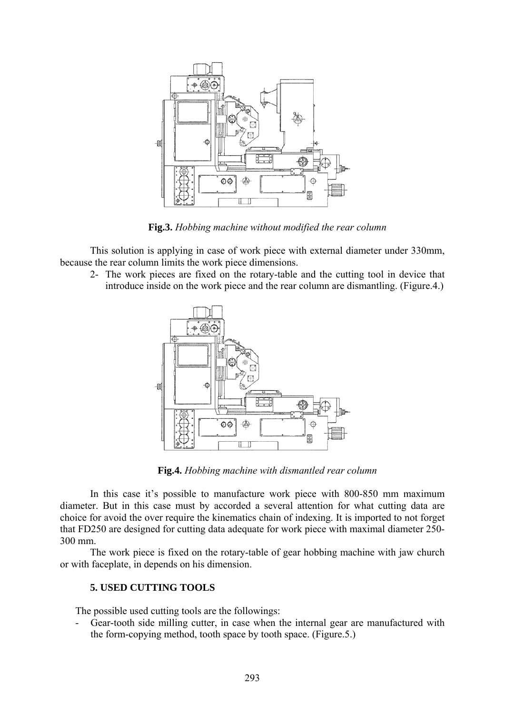

**Fig.3.** *Hobbing machine without modified the rear column*

This solution is applying in case of work piece with external diameter under 330mm, because the rear column limits the work piece dimensions.

2- The work pieces are fixed on the rotary-table and the cutting tool in device that introduce inside on the work piece and the rear column are dismantling. (Figure.4.)



**Fig.4.** *Hobbing machine with dismantled rear column*

In this case it's possible to manufacture work piece with 800-850 mm maximum diameter. But in this case must by accorded a several attention for what cutting data are choice for avoid the over require the kinematics chain of indexing. It is imported to not forget that FD250 are designed for cutting data adequate for work piece with maximal diameter 250- 300 mm.

The work piece is fixed on the rotary-table of gear hobbing machine with jaw church or with faceplate, in depends on his dimension.

## **5. USED CUTTING TOOLS**

The possible used cutting tools are the followings:

- Gear-tooth side milling cutter, in case when the internal gear are manufactured with the form-copying method, tooth space by tooth space. (Figure.5.)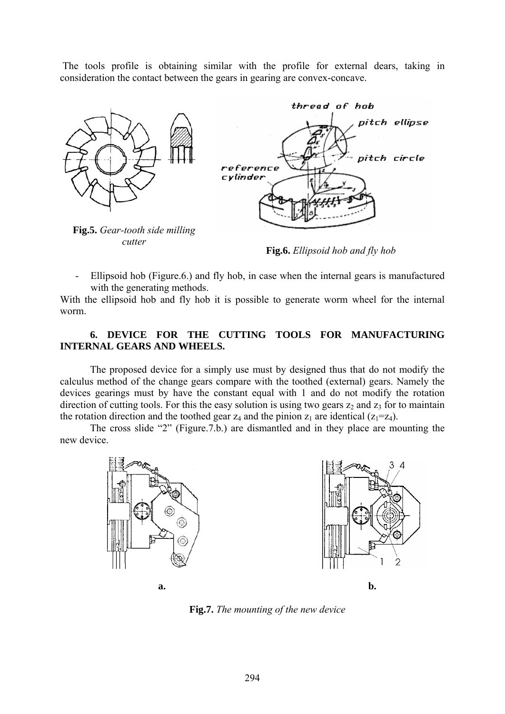The tools profile is obtaining similar with the profile for external dears, taking in consideration the contact between the gears in gearing are convex-concave.



**Fig.6.** *Ellipsoid hob and fly hob*

- Ellipsoid hob (Figure.6.) and fly hob, in case when the internal gears is manufactured with the generating methods.

With the ellipsoid hob and fly hob it is possible to generate worm wheel for the internal worm.

#### **6. DEVICE FOR THE CUTTING TOOLS FOR MANUFACTURING INTERNAL GEARS AND WHEELS.**

The proposed device for a simply use must by designed thus that do not modify the calculus method of the change gears compare with the toothed (external) gears. Namely the devices gearings must by have the constant equal with 1 and do not modify the rotation direction of cutting tools. For this the easy solution is using two gears  $z_2$  and  $z_3$  for to maintain the rotation direction and the toothed gear  $z_4$  and the pinion  $z_1$  are identical ( $z_1=z_4$ ).

The cross slide "2" (Figure.7.b.) are dismantled and in they place are mounting the new device.



**Fig.7.** *The mounting of the new device*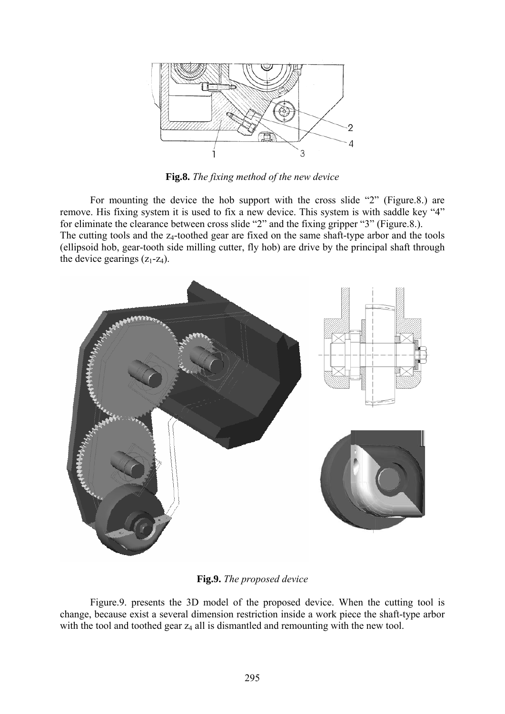

**Fig.8.** *The fixing method of the new device*

For mounting the device the hob support with the cross slide "2" (Figure.8.) are remove. His fixing system it is used to fix a new device. This system is with saddle key "4" for eliminate the clearance between cross slide "2" and the fixing gripper "3" (Figure.8.). The cutting tools and the  $z_4$ -toothed gear are fixed on the same shaft-type arbor and the tools (ellipsoid hob, gear-tooth side milling cutter, fly hob) are drive by the principal shaft through the device gearings  $(z_1-z_4)$ .



**Fig.9.** *The proposed device*

 Figure.9. presents the 3D model of the proposed device. When the cutting tool is change, because exist a several dimension restriction inside a work piece the shaft-type arbor with the tool and toothed gear  $z_4$  all is dismantled and remounting with the new tool.